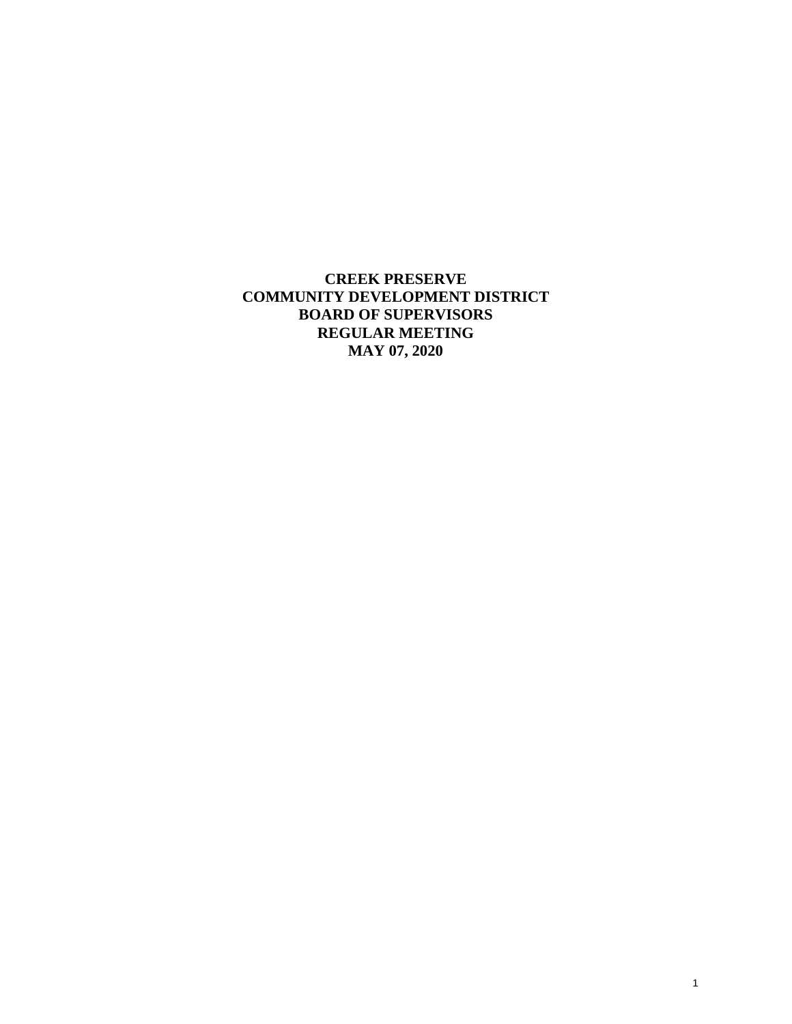**CREEK PRESERVE COMMUNITY DEVELOPMENT DISTRICT BOARD OF SUPERVISORS REGULAR MEETING MAY 07, 2020**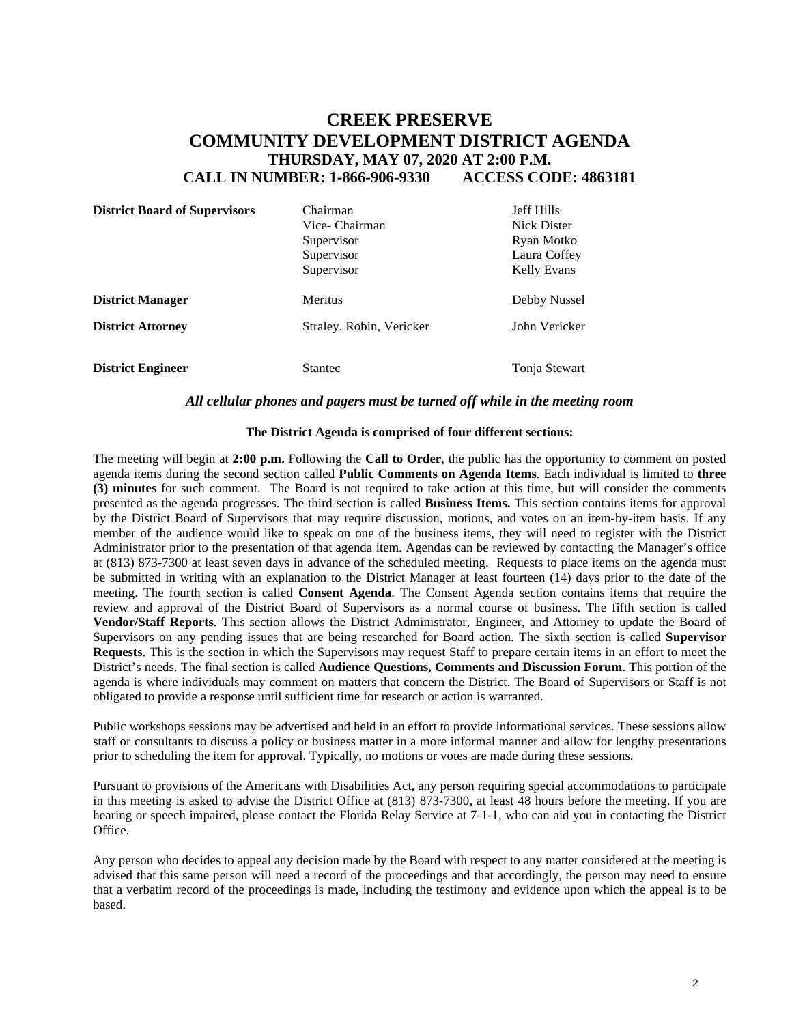# **CREEK PRESERVE COMMUNITY DEVELOPMENT DISTRICT AGENDA THURSDAY, MAY 07, 2020 AT 2:00 P.M. CALL IN NUMBER: 1-866-906-9330 ACCESS CODE: 4863181**

| <b>District Board of Supervisors</b> | Chairman<br>Vice- Chairman<br>Supervisor<br>Supervisor<br>Supervisor | <b>Jeff Hills</b><br>Nick Dister<br>Ryan Motko<br>Laura Coffey<br>Kelly Evans |
|--------------------------------------|----------------------------------------------------------------------|-------------------------------------------------------------------------------|
| <b>District Manager</b>              | <b>Meritus</b>                                                       | Debby Nussel                                                                  |
| <b>District Attorney</b>             | Straley, Robin, Vericker                                             | John Vericker                                                                 |
| <b>District Engineer</b>             | Stantec                                                              | Tonja Stewart                                                                 |

### *All cellular phones and pagers must be turned off while in the meeting room*

#### **The District Agenda is comprised of four different sections:**

The meeting will begin at **2:00 p.m.** Following the **Call to Order**, the public has the opportunity to comment on posted agenda items during the second section called **Public Comments on Agenda Items**. Each individual is limited to **three (3) minutes** for such comment. The Board is not required to take action at this time, but will consider the comments presented as the agenda progresses. The third section is called **Business Items.** This section contains items for approval by the District Board of Supervisors that may require discussion, motions, and votes on an item-by-item basis. If any member of the audience would like to speak on one of the business items, they will need to register with the District Administrator prior to the presentation of that agenda item. Agendas can be reviewed by contacting the Manager's office at (813) 873-7300 at least seven days in advance of the scheduled meeting. Requests to place items on the agenda must be submitted in writing with an explanation to the District Manager at least fourteen (14) days prior to the date of the meeting. The fourth section is called **Consent Agenda**. The Consent Agenda section contains items that require the review and approval of the District Board of Supervisors as a normal course of business. The fifth section is called **Vendor/Staff Reports**. This section allows the District Administrator, Engineer, and Attorney to update the Board of Supervisors on any pending issues that are being researched for Board action. The sixth section is called **Supervisor Requests**. This is the section in which the Supervisors may request Staff to prepare certain items in an effort to meet the District's needs. The final section is called **Audience Questions, Comments and Discussion Forum**. This portion of the agenda is where individuals may comment on matters that concern the District. The Board of Supervisors or Staff is not obligated to provide a response until sufficient time for research or action is warranted.

Public workshops sessions may be advertised and held in an effort to provide informational services. These sessions allow staff or consultants to discuss a policy or business matter in a more informal manner and allow for lengthy presentations prior to scheduling the item for approval. Typically, no motions or votes are made during these sessions.

Pursuant to provisions of the Americans with Disabilities Act, any person requiring special accommodations to participate in this meeting is asked to advise the District Office at (813) 873-7300, at least 48 hours before the meeting. If you are hearing or speech impaired, please contact the Florida Relay Service at 7-1-1, who can aid you in contacting the District Office.

Any person who decides to appeal any decision made by the Board with respect to any matter considered at the meeting is advised that this same person will need a record of the proceedings and that accordingly, the person may need to ensure that a verbatim record of the proceedings is made, including the testimony and evidence upon which the appeal is to be based.